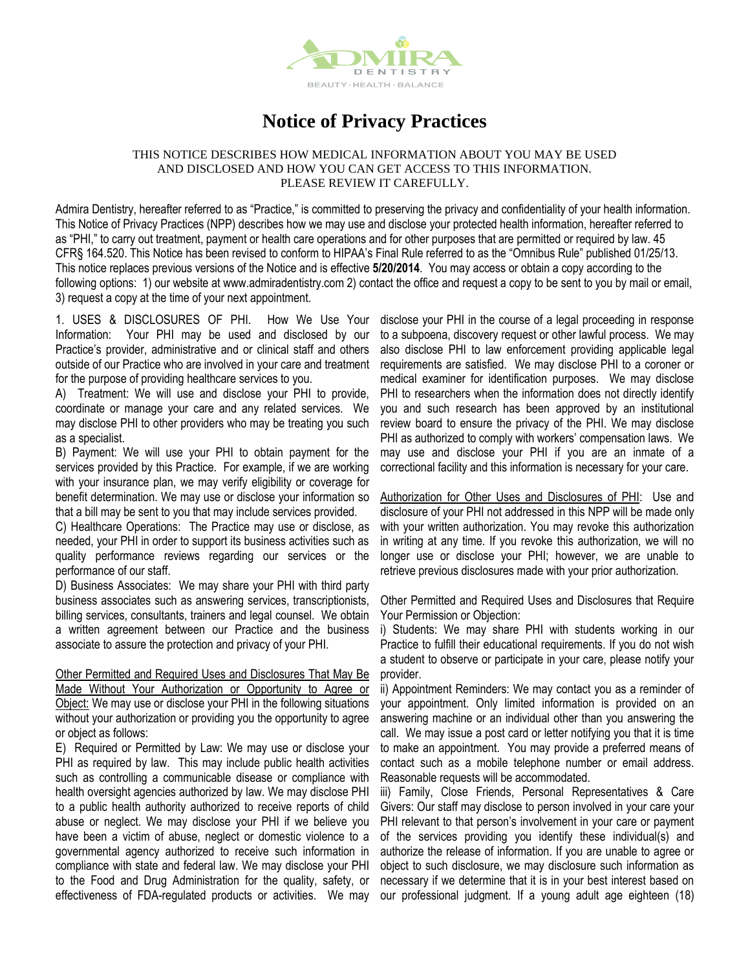

## **Notice of Privacy Practices**

## THIS NOTICE DESCRIBES HOW MEDICAL INFORMATION ABOUT YOU MAY BE USED AND DISCLOSED AND HOW YOU CAN GET ACCESS TO THIS INFORMATION. PLEASE REVIEW IT CAREFULLY.

Admira Dentistry, hereafter referred to as "Practice," is committed to preserving the privacy and confidentiality of your health information. This Notice of Privacy Practices (NPP) describes how we may use and disclose your protected health information, hereafter referred to as "PHI," to carry out treatment, payment or health care operations and for other purposes that are permitted or required by law. 45 CFR§ 164.520. This Notice has been revised to conform to HIPAA's Final Rule referred to as the "Omnibus Rule" published 01/25/13. This notice replaces previous versions of the Notice and is effective **5/20/2014**. You may access or obtain a copy according to the following options: 1) our website at www.admiradentistry.com 2) contact the office and request a copy to be sent to you by mail or email, 3) request a copy at the time of your next appointment.

1. USES & DISCLOSURES OF PHI. How We Use Your Information: Your PHI may be used and disclosed by our Practice's provider, administrative and or clinical staff and others outside of our Practice who are involved in your care and treatment for the purpose of providing healthcare services to you.

A) Treatment: We will use and disclose your PHI to provide, coordinate or manage your care and any related services. We may disclose PHI to other providers who may be treating you such as a specialist.

B) Payment: We will use your PHI to obtain payment for the services provided by this Practice. For example, if we are working with your insurance plan, we may verify eligibility or coverage for benefit determination. We may use or disclose your information so that a bill may be sent to you that may include services provided.

C) Healthcare Operations: The Practice may use or disclose, as needed, your PHI in order to support its business activities such as quality performance reviews regarding our services or the performance of our staff.

D) Business Associates: We may share your PHI with third party business associates such as answering services, transcriptionists, billing services, consultants, trainers and legal counsel. We obtain a written agreement between our Practice and the business associate to assure the protection and privacy of your PHI.

Other Permitted and Required Uses and Disclosures That May Be Made Without Your Authorization or Opportunity to Agree or Object: We may use or disclose your PHI in the following situations without your authorization or providing you the opportunity to agree or object as follows:

E) Required or Permitted by Law: We may use or disclose your PHI as required by law. This may include public health activities such as controlling a communicable disease or compliance with health oversight agencies authorized by law. We may disclose PHI to a public health authority authorized to receive reports of child abuse or neglect. We may disclose your PHI if we believe you have been a victim of abuse, neglect or domestic violence to a governmental agency authorized to receive such information in compliance with state and federal law. We may disclose your PHI to the Food and Drug Administration for the quality, safety, or effectiveness of FDA-regulated products or activities. We may

disclose your PHI in the course of a legal proceeding in response to a subpoena, discovery request or other lawful process. We may also disclose PHI to law enforcement providing applicable legal requirements are satisfied. We may disclose PHI to a coroner or medical examiner for identification purposes. We may disclose PHI to researchers when the information does not directly identify you and such research has been approved by an institutional review board to ensure the privacy of the PHI. We may disclose PHI as authorized to comply with workers' compensation laws. We may use and disclose your PHI if you are an inmate of a correctional facility and this information is necessary for your care.

Authorization for Other Uses and Disclosures of PHI: Use and disclosure of your PHI not addressed in this NPP will be made only with your written authorization. You may revoke this authorization in writing at any time. If you revoke this authorization, we will no longer use or disclose your PHI; however, we are unable to retrieve previous disclosures made with your prior authorization.

Other Permitted and Required Uses and Disclosures that Require Your Permission or Objection:

i) Students: We may share PHI with students working in our Practice to fulfill their educational requirements. If you do not wish a student to observe or participate in your care, please notify your provider.

ii) Appointment Reminders: We may contact you as a reminder of your appointment. Only limited information is provided on an answering machine or an individual other than you answering the call. We may issue a post card or letter notifying you that it is time to make an appointment. You may provide a preferred means of contact such as a mobile telephone number or email address. Reasonable requests will be accommodated.

iii) Family, Close Friends, Personal Representatives & Care Givers: Our staff may disclose to person involved in your care your PHI relevant to that person's involvement in your care or payment of the services providing you identify these individual(s) and authorize the release of information. If you are unable to agree or object to such disclosure, we may disclosure such information as necessary if we determine that it is in your best interest based on our professional judgment. If a young adult age eighteen (18)